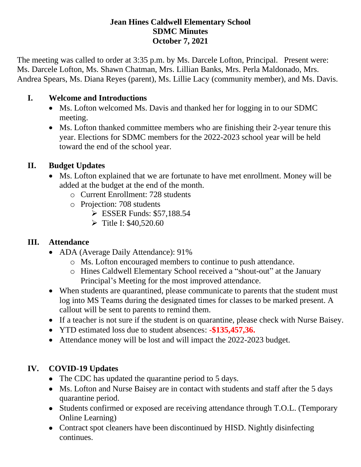#### **Jean Hines Caldwell Elementary School SDMC Minutes October 7, 2021**

The meeting was called to order at 3:35 p.m. by Ms. Darcele Lofton, Principal. Present were: Ms. Darcele Lofton, Ms. Shawn Chatman, Mrs. Lillian Banks, Mrs. Perla Maldonado, Mrs. Andrea Spears, Ms. Diana Reyes (parent), Ms. Lillie Lacy (community member), and Ms. Davis.

### **I. Welcome and Introductions**

- Ms. Lofton welcomed Ms. Davis and thanked her for logging in to our SDMC meeting.
- Ms. Lofton thanked committee members who are finishing their 2-year tenure this year. Elections for SDMC members for the 2022-2023 school year will be held toward the end of the school year.

# **II. Budget Updates**

- Ms. Lofton explained that we are fortunate to have met enrollment. Money will be added at the budget at the end of the month.
	- o Current Enrollment: 728 students
	- o Projection: 708 students
		- $\triangleright$  ESSER Funds: \$57,188.54
		- $\triangleright$  Title I: \$40,520.60

### **III. Attendance**

- ADA (Average Daily Attendance): 91%
	- o Ms. Lofton encouraged members to continue to push attendance.
	- o Hines Caldwell Elementary School received a "shout-out" at the January Principal's Meeting for the most improved attendance.
- When students are quarantined, please communicate to parents that the student must log into MS Teams during the designated times for classes to be marked present. A callout will be sent to parents to remind them.
- If a teacher is not sure if the student is on quarantine, please check with Nurse Baisey.
- YTD estimated loss due to student absences: **-\$135,457,36.**
- Attendance money will be lost and will impact the 2022-2023 budget.

# **IV. COVID-19 Updates**

- The CDC has updated the quarantine period to 5 days.
- Ms. Lofton and Nurse Baisey are in contact with students and staff after the 5 days quarantine period.
- Students confirmed or exposed are receiving attendance through T.O.L. (Temporary Online Learning)
- Contract spot cleaners have been discontinued by HISD. Nightly disinfecting continues.